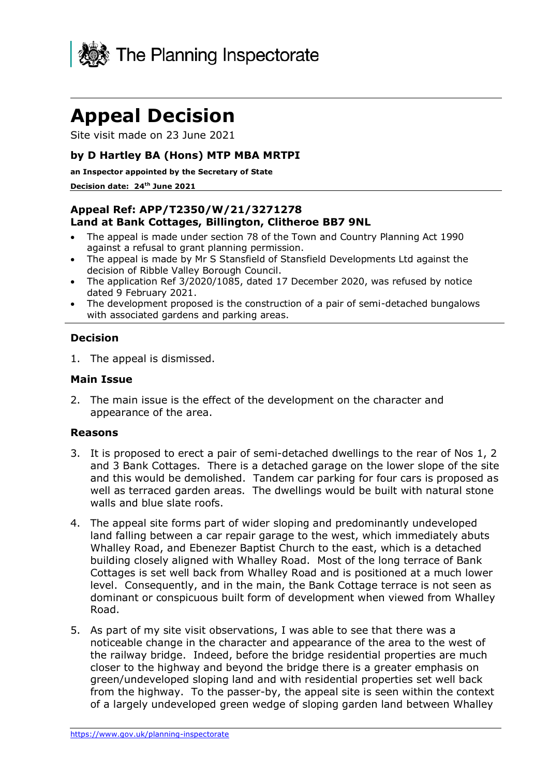

# **Appeal Decision**

Site visit made on 23 June 2021

## **by D Hartley BA (Hons) MTP MBA MRTPI**

**an Inspector appointed by the Secretary of State** 

#### **Decision date: 24th June 2021**

## **Appeal Ref: APP/T2350/W/21/3271278 Land at Bank Cottages, Billington, Clitheroe BB7 9NL**

- The appeal is made under section 78 of the Town and Country Planning Act 1990 against a refusal to grant planning permission.
- The appeal is made by Mr S Stansfield of Stansfield Developments Ltd against the decision of Ribble Valley Borough Council.
- The application Ref 3/2020/1085, dated 17 December 2020, was refused by notice dated 9 February 2021.
- The development proposed is the construction of a pair of semi-detached bungalows with associated gardens and parking areas.

#### **Decision**

1. The appeal is dismissed.

#### **Main Issue**

2. The main issue is the effect of the development on the character and appearance of the area.

#### **Reasons**

- 3. It is proposed to erect a pair of semi-detached dwellings to the rear of Nos 1, 2 and 3 Bank Cottages. There is a detached garage on the lower slope of the site and this would be demolished. Tandem car parking for four cars is proposed as well as terraced garden areas. The dwellings would be built with natural stone walls and blue slate roofs.
- 4. The appeal site forms part of wider sloping and predominantly undeveloped land falling between a car repair garage to the west, which immediately abuts Whalley Road, and Ebenezer Baptist Church to the east, which is a detached building closely aligned with Whalley Road. Most of the long terrace of Bank Cottages is set well back from Whalley Road and is positioned at a much lower level. Consequently, and in the main, the Bank Cottage terrace is not seen as dominant or conspicuous built form of development when viewed from Whalley Road.
- 5. As part of my site visit observations, I was able to see that there was a noticeable change in the character and appearance of the area to the west of the railway bridge. Indeed, before the bridge residential properties are much closer to the highway and beyond the bridge there is a greater emphasis on green/undeveloped sloping land and with residential properties set well back from the highway. To the passer-by, the appeal site is seen within the context of a largely undeveloped green wedge of sloping garden land between Whalley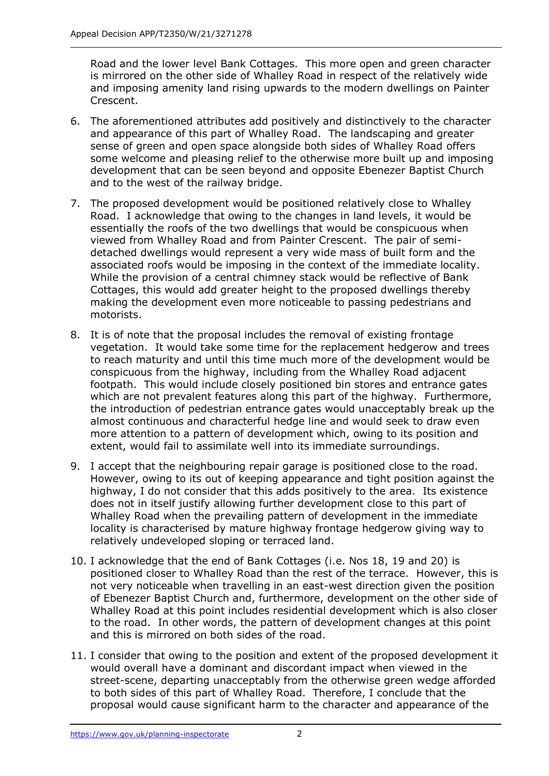Road and the lower level Bank Cottages. This more open and green character is mirrored on the other side of Whalley Road in respect of the relatively wide and imposing amenity land rising upwards to the modern dwellings on Painter Crescent.

- 6. The aforementioned attributes add positively and distinctively to the character and appearance of this part of Whalley Road. The landscaping and greater sense of green and open space alongside both sides of Whalley Road offers some welcome and pleasing relief to the otherwise more built up and imposing development that can be seen beyond and opposite Ebenezer Baptist Church and to the west of the railway bridge.
- 7. The proposed development would be positioned relatively close to Whalley Road. I acknowledge that owing to the changes in land levels, it would be essentially the roofs of the two dwellings that would be conspicuous when viewed from Whalley Road and from Painter Crescent. The pair of semidetached dwellings would represent a very wide mass of built form and the associated roofs would be imposing in the context of the immediate locality. While the provision of a central chimney stack would be reflective of Bank Cottages, this would add greater height to the proposed dwellings thereby making the development even more noticeable to passing pedestrians and motorists.
- 8. It is of note that the proposal includes the removal of existing frontage vegetation. It would take some time for the replacement hedgerow and trees to reach maturity and until this time much more of the development would be conspicuous from the highway, including from the Whalley Road adjacent footpath. This would include closely positioned bin stores and entrance gates which are not prevalent features along this part of the highway. Furthermore, the introduction of pedestrian entrance gates would unacceptably break up the almost continuous and characterful hedge line and would seek to draw even more attention to a pattern of development which, owing to its position and extent, would fail to assimilate well into its immediate surroundings.
- 9. I accept that the neighbouring repair garage is positioned close to the road. However, owing to its out of keeping appearance and tight position against the highway, I do not consider that this adds positively to the area. Its existence does not in itself justify allowing further development close to this part of Whalley Road when the prevailing pattern of development in the immediate locality is characterised by mature highway frontage hedgerow giving way to relatively undeveloped sloping or terraced land.
- 10. I acknowledge that the end of Bank Cottages (i.e. Nos 18, 19 and 20) is positioned closer to Whalley Road than the rest of the terrace. However, this is not very noticeable when travelling in an east-west direction given the position of Ebenezer Baptist Church and, furthermore, development on the other side of Whalley Road at this point includes residential development which is also closer to the road. In other words, the pattern of development changes at this point and this is mirrored on both sides of the road.
- 11. I consider that owing to the position and extent of the proposed development it would overall have a dominant and discordant impact when viewed in the street-scene, departing unacceptably from the otherwise green wedge afforded to both sides of this part of Whalley Road. Therefore, I conclude that the proposal would cause significant harm to the character and appearance of the